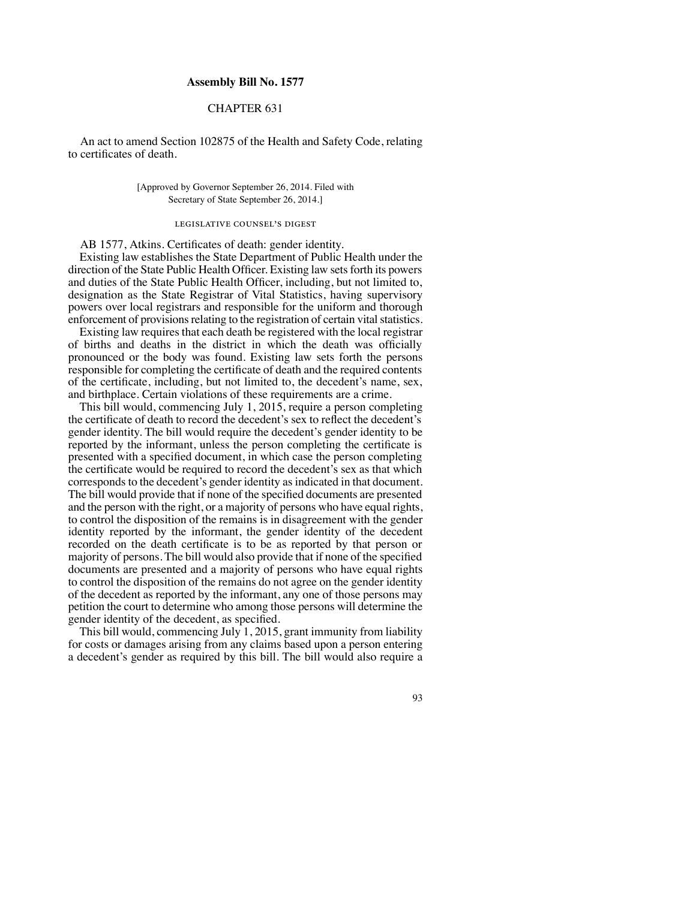## **Assembly Bill No. 1577**

## CHAPTER 631

An act to amend Section 102875 of the Health and Safety Code, relating to certificates of death.

> [Approved by Governor September 26, 2014. Filed with Secretary of State September 26, 2014.]

## legislative counsel's digest

AB 1577, Atkins. Certificates of death: gender identity.

Existing law establishes the State Department of Public Health under the direction of the State Public Health Officer. Existing law sets forth its powers and duties of the State Public Health Officer, including, but not limited to, designation as the State Registrar of Vital Statistics, having supervisory powers over local registrars and responsible for the uniform and thorough enforcement of provisions relating to the registration of certain vital statistics.

Existing law requires that each death be registered with the local registrar of births and deaths in the district in which the death was officially pronounced or the body was found. Existing law sets forth the persons responsible for completing the certificate of death and the required contents of the certificate, including, but not limited to, the decedent's name, sex, and birthplace. Certain violations of these requirements are a crime.

This bill would, commencing July 1, 2015, require a person completing the certificate of death to record the decedent's sex to reflect the decedent's gender identity. The bill would require the decedent's gender identity to be reported by the informant, unless the person completing the certificate is presented with a specified document, in which case the person completing the certificate would be required to record the decedent's sex as that which corresponds to the decedent's gender identity as indicated in that document. The bill would provide that if none of the specified documents are presented and the person with the right, or a majority of persons who have equal rights, to control the disposition of the remains is in disagreement with the gender identity reported by the informant, the gender identity of the decedent recorded on the death certificate is to be as reported by that person or majority of persons. The bill would also provide that if none of the specified documents are presented and a majority of persons who have equal rights to control the disposition of the remains do not agree on the gender identity of the decedent as reported by the informant, any one of those persons may petition the court to determine who among those persons will determine the gender identity of the decedent, as specified.

This bill would, commencing July 1, 2015, grant immunity from liability for costs or damages arising from any claims based upon a person entering a decedent's gender as required by this bill. The bill would also require a

93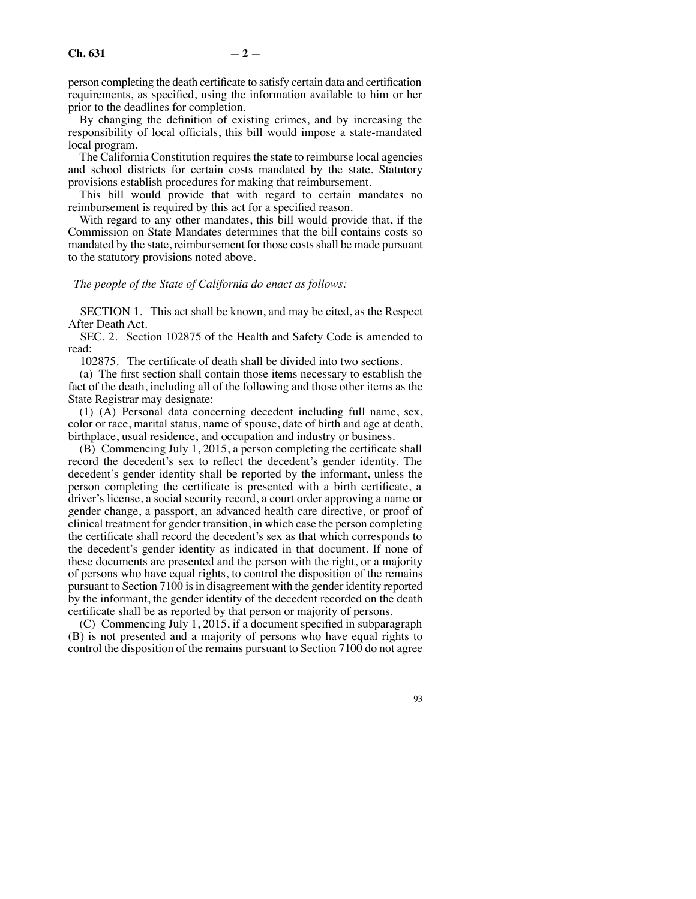person completing the death certificate to satisfy certain data and certification requirements, as specified, using the information available to him or her prior to the deadlines for completion.

By changing the definition of existing crimes, and by increasing the responsibility of local officials, this bill would impose a state-mandated local program.

The California Constitution requires the state to reimburse local agencies and school districts for certain costs mandated by the state. Statutory provisions establish procedures for making that reimbursement.

This bill would provide that with regard to certain mandates no reimbursement is required by this act for a specified reason.

With regard to any other mandates, this bill would provide that, if the Commission on State Mandates determines that the bill contains costs so mandated by the state, reimbursement for those costs shall be made pursuant to the statutory provisions noted above.

## *The people of the State of California do enact as follows:*

SECTION 1. This act shall be known, and may be cited, as the Respect After Death Act.

SEC. 2. Section 102875 of the Health and Safety Code is amended to read:

102875. The certificate of death shall be divided into two sections.

(a) The first section shall contain those items necessary to establish the fact of the death, including all of the following and those other items as the State Registrar may designate:

(1) (A) Personal data concerning decedent including full name, sex, color or race, marital status, name of spouse, date of birth and age at death, birthplace, usual residence, and occupation and industry or business.

(B) Commencing July 1, 2015, a person completing the certificate shall record the decedent's sex to reflect the decedent's gender identity. The decedent's gender identity shall be reported by the informant, unless the person completing the certificate is presented with a birth certificate, a driver's license, a social security record, a court order approving a name or gender change, a passport, an advanced health care directive, or proof of clinical treatment for gender transition, in which case the person completing the certificate shall record the decedent's sex as that which corresponds to the decedent's gender identity as indicated in that document. If none of these documents are presented and the person with the right, or a majority of persons who have equal rights, to control the disposition of the remains pursuant to Section 7100 is in disagreement with the gender identity reported by the informant, the gender identity of the decedent recorded on the death certificate shall be as reported by that person or majority of persons.

(C) Commencing July 1, 2015, if a document specified in subparagraph (B) is not presented and a majority of persons who have equal rights to control the disposition of the remains pursuant to Section 7100 do not agree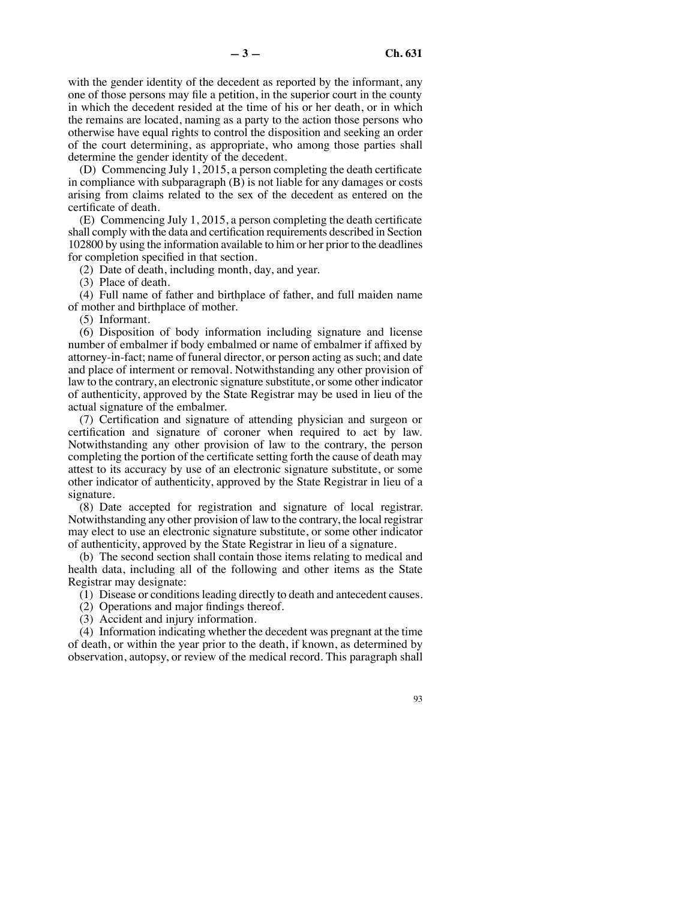with the gender identity of the decedent as reported by the informant, any one of those persons may file a petition, in the superior court in the county in which the decedent resided at the time of his or her death, or in which the remains are located, naming as a party to the action those persons who otherwise have equal rights to control the disposition and seeking an order of the court determining, as appropriate, who among those parties shall determine the gender identity of the decedent.

(D) Commencing July 1, 2015, a person completing the death certificate in compliance with subparagraph (B) is not liable for any damages or costs arising from claims related to the sex of the decedent as entered on the certificate of death.

(E) Commencing July 1, 2015, a person completing the death certificate shall comply with the data and certification requirements described in Section 102800 by using the information available to him or her prior to the deadlines for completion specified in that section.

(2) Date of death, including month, day, and year.

(3) Place of death.

(4) Full name of father and birthplace of father, and full maiden name of mother and birthplace of mother.

(5) Informant.

(6) Disposition of body information including signature and license number of embalmer if body embalmed or name of embalmer if affixed by attorney-in-fact; name of funeral director, or person acting as such; and date and place of interment or removal. Notwithstanding any other provision of law to the contrary, an electronic signature substitute, or some other indicator of authenticity, approved by the State Registrar may be used in lieu of the actual signature of the embalmer.

(7) Certification and signature of attending physician and surgeon or certification and signature of coroner when required to act by law. Notwithstanding any other provision of law to the contrary, the person completing the portion of the certificate setting forth the cause of death may attest to its accuracy by use of an electronic signature substitute, or some other indicator of authenticity, approved by the State Registrar in lieu of a signature.

(8) Date accepted for registration and signature of local registrar. Notwithstanding any other provision of law to the contrary, the local registrar may elect to use an electronic signature substitute, or some other indicator of authenticity, approved by the State Registrar in lieu of a signature.

(b) The second section shall contain those items relating to medical and health data, including all of the following and other items as the State Registrar may designate:

(1) Disease or conditions leading directly to death and antecedent causes.

(2) Operations and major findings thereof.

(3) Accident and injury information.

(4) Information indicating whether the decedent was pregnant at the time of death, or within the year prior to the death, if known, as determined by observation, autopsy, or review of the medical record. This paragraph shall

93